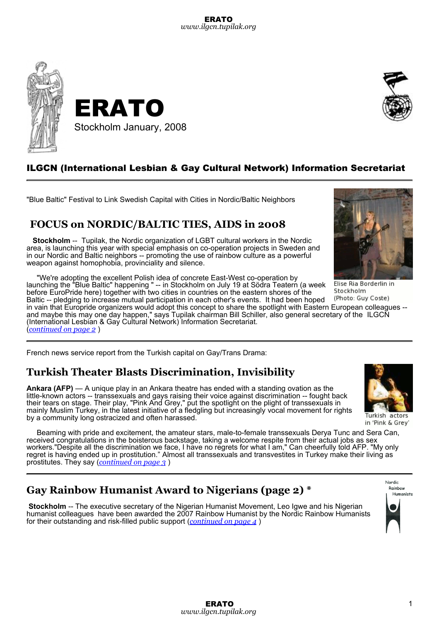

ERATO Stockholm January, 2008



# ILGCN (International Lesbian & Gay Cultural Network) Information Secretariat

"Blue Baltic" Festival to Link Swedish Capital with Cities in Nordic/Baltic Neighbors

# **FOCUS on NORDIC/BALTIC TIES, AIDS in 2008**

**Stockholm** -- Tupilak, the Nordic organization of LGBT cultural workers in the Nordic area, is launching this year with special emphasis on co-operation projects in Sweden and in our Nordic and Baltic neighbors -- promoting the use of rainbow culture as a powerful weapon against homophobia, provinciality and silence.

"We're adopting the excellent Polish idea of concrete East-West co-operation by launching the "Blue Baltic" happening " -- in Stockholm on July 19 at Södra Teatern (a week Stockholm before EuroPride here) together with two cities in countries on the eastern shores of the Baltic -- pledging to increase mutual participation in each other's events. It had been hoped in vain that Europride organizers would adopt this concept to share the spotlight with Eastern European colleagues - and maybe this may one day happen," says Tupilak chairman Bill Schiller, also general secretary of the ILGCN (International Lesbian & Gay Cultural Network) Information Secretariat. (*continued on page 2* )

French news service report from the Turkish capital on Gay/Trans Drama:

# **Turkish Theater Blasts Discrimination, Invisibility**

**Ankara (AFP)** — A unique play in an Ankara theatre has ended with a standing ovation as the little-known actors -- transsexuals and gays raising their voice against discrimination -- fought back their tears on stage. Their play, "Pink And Grey," put the spotlight on the plight of transsexuals in mainly Muslim Turkey, in the latest initiative of a fledgling but increasingly vocal movement for rights by a community long ostracized and often harassed.

Beaming with pride and excitement, the amateur stars, male-to-female transsexuals Derya Tunc and Sera Can, received congratulations in the boisterous backstage, taking a welcome respite from their actual jobs as sex workers."Despite all the discrimination we face, I have no regrets for what I am," Can cheerfully told AFP. "My only regret is having ended up in prostitution." Almost all transsexuals and transvestites in Turkey make their living as prostitutes. They say (*continued on page 3* )

# **Gay Rainbow Humanist Award to Nigerians (page 2) \***

**Stockholm** -- The executive secretary of the Nigerian Humanist Movement, Leo Igwe and his Nigerian humanist colleagues have been awarded the 2007 Rainbow Humanist by the Nordic Rainbow Humanists for their outstanding and risk-filled public support (*continued on page 4* )



Turkish actors in 'Pink & Grey'



Elise Ria Borderlin in (Photo: Guy Coste)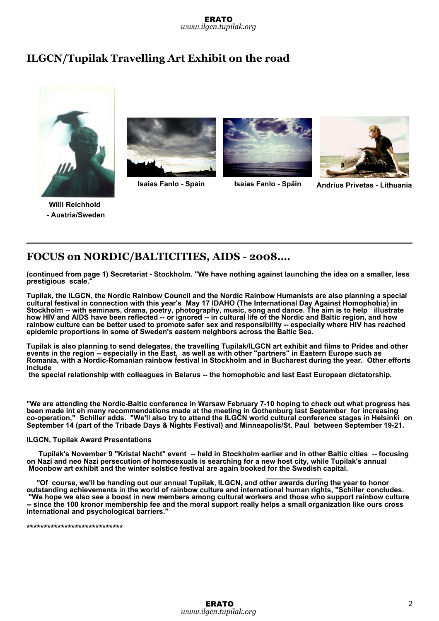ERATO *www.ilgcn.tupilak.org*

# **ILGCN/Tupilak Travelling Art Exhibit on the road**



**Willi Reichhold - Austria/Sweden**







**Isaias Fanlo - Spåin Isaias Fanlo - Spåin Andrius Privetas - Lithuania**

#### **FOCUS on NORDIC/BALTICITIES, AIDS - 2008….**

**(continued from page 1) Secretariat - Stockholm. "We have nothing against launching the idea on a smaller, less prestigious scale."**

**Tupilak, the ILGCN, the Nordic Rainbow Council and the Nordic Rainbow Humanists are also planning a special cultural festival in connection with this year's May 17 IDAHO (The International Day Against Homophobia) in Stockholm -- with seminars, drama, poetry, photography, music, song and dance. The aim is to help illustrate how HIV and AIDS have been reflected -- or ignored -- in cultural life of the Nordic and Baltic region, and how rainbow culture can be better used to promote safer sex and responsibility -- especially where HIV has reached epidemic proportions in some of Sweden's eastern neighbors across the Baltic Sea.**

**Tupilak is also planning to send delegates, the travelling Tupilak/ILGCN art exhibit and films to Prides and other events in the region -- especially in the East, as well as with other "partners" in Eastern Europe such as Romania, with a Nordic-Romanian rainbow festival in Stockholm and in Bucharest during the year. Other efforts include**

**the special relationship with colleagues in Belarus -- the homophobic and last East European dictatorship.**

**"We are attending the Nordic-Baltic conference in Warsaw February 7-10 hoping to check out what progress has been made int eh many recommendations made at the meeting in Gothenburg last September for increasing co-operation," Schiller adds. "We'll also try to attend the ILGCN world cultural conference stages in Helsinki on September 14 (part of the Tribade Days & Nights Festival) and Minneapolis/St. Paul between September 19-21.**

#### **ILGCN, Tupilak Award Presentations**

**Tupilak's November 9 "Kristal Nacht" event -- held in Stockholm earlier and in other Baltic cities -- focusing on Nazi and neo Nazi persecution of homosexuals is searching for a new host city, while Tupilak's annual Moonbow art exhibit and the winter solstice festival are again booked for the Swedish capital.**

**\_\_\_\_\_\_\_\_\_\_\_\_\_\_ "Of course, we'll be handing out our annual Tupilak, ILGCN, and other awards during the year to honor outstanding achievements in the world of rainbow culture and international human rights, "Schiller concludes. "We hope we also see a boost in new members among cultural workers and those who support rainbow culture**

**-- since the 100 kronor membership fee and the moral support really helps a small organization like ours cross international and psychological barriers."**

**\*\*\*\*\*\*\*\*\*\*\*\*\*\*\*\*\*\*\*\*\*\*\*\*\*\*\*\***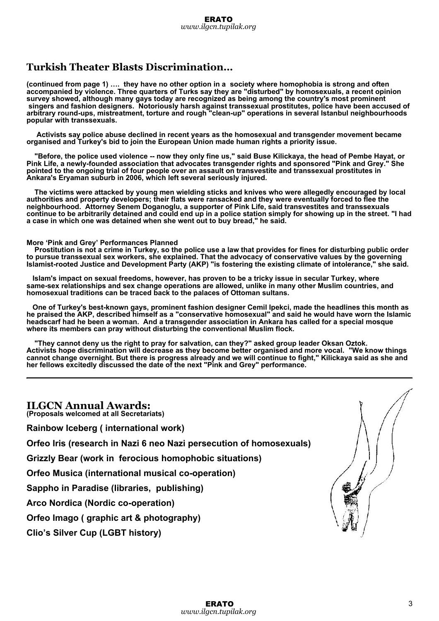### **Turkish Theater Blasts Discrimination…**

**(continued from page 1) …. they have no other option in a society where homophobia is strong and often accompanied by violence. Three quarters of Turks say they are "disturbed" by homosexuals, a recent opinion survey showed, although many gays today are recognized as being among the country's most prominent singers and fashion designers. Notoriously harsh against transsexual prostitutes, police have been accused of arbitrary round-ups, mistreatment, torture and rough "clean-up" operations in several Istanbul neighbourhoods popular with transsexuals.**

**Activists say police abuse declined in recent years as the homosexual and transgender movement became organised and Turkey's bid to join the European Union made human rights a priority issue.**

**"Before, the police used violence -- now they only fine us," said Buse Kilickaya, the head of Pembe Hayat, or Pink Life, a newly-founded association that advocates transgender rights and sponsored "Pink and Grey." She pointed to the ongoing trial of four people over an assault on transvestite and transsexual prostitutes in Ankara's Eryaman suburb in 2006, which left several seriously injured.**

**The victims were attacked by young men wielding sticks and knives who were allegedly encouraged by local authorities and property developers; their flats were ransacked and they were eventually forced to flee the neighbourhood. Attorney Senem Doganoglu, a supporter of Pink Life, said transvestites and transsexuals continue to be arbitrarily detained and could end up in a police station simply for showing up in the street. "I had a case in which one was detained when she went out to buy bread," he said.**

#### **More 'Pink and Grey' Performances Planned**

**Prostitution is not a crime in Turkey, so the police use a law that provides for fines for disturbing public order to pursue transsexual sex workers, she explained. That the advocacy of conservative values by the governing Islamist-rooted Justice and Development Party (AKP) "is fostering the existing climate of intolerance," she said.**

**Islam's impact on sexual freedoms, however, has proven to be a tricky issue in secular Turkey, where same-sex relationships and sex change operations are allowed, unlike in many other Muslim countries, and homosexual traditions can be traced back to the palaces of Ottoman sultans.**

**One of Turkey's best-known gays, prominent fashion designer Cemil Ipekci, made the headlines this month as he praised the AKP, described himself as a "conservative homosexual" and said he would have worn the Islamic headscarf had he been a woman. And a transgender association in Ankara has called for a special mosque where its members can pray without disturbing the conventional Muslim flock.**

**"They cannot deny us the right to pray for salvation, can they?" asked group leader Oksan Oztok. Activists hope discrimination will decrease as they become better organised and more vocal. "We know things cannot change overnight. But there is progress already and we will continue to fight," Kilickaya said as she and her fellows excitedly discussed the date of the next "Pink and Grey" performance.**

#### **ILGCN Annual Awards:**

**(Proposals welcomed at all Secretariats)**

**Rainbow Iceberg ( international work)**

**Orfeo Iris (research in Nazi 6 neo Nazi persecution of homosexuals)**

**Grizzly Bear (work in ferocious homophobic situations)**

**Orfeo Musica (international musical co-operation)**

**Sappho in Paradise (libraries, publishing)**

**Arco Nordica (Nordic co-operation)**

**Orfeo Imago ( graphic art & photography)**

**Clio's Silver Cup (LGBT history)**